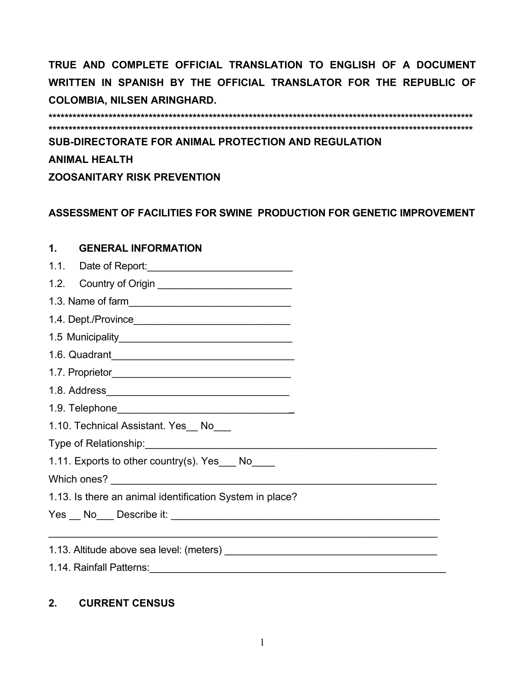**TRUE AND COMPLETE OFFICIAL TRANSLATION TO ENGLISH OF A DOCUMENT WRITTEN IN SPANISH BY THE OFFICIAL TRANSLATOR FOR THE REPUBLIC OF COLOMBIA, NILSEN ARINGHARD.** 

**\*\*\*\*\*\*\*\*\*\*\*\*\*\*\*\*\*\*\*\*\*\*\*\*\*\*\*\*\*\*\*\*\*\*\*\*\*\*\*\*\*\*\*\*\*\*\*\*\*\*\*\*\*\*\*\*\*\*\*\*\*\*\*\*\*\*\*\*\*\*\*\*\*\*\*\*\*\*\*\*\*\*\*\*\*\*\*\*\*\*\*\*\*\*\*\*\*\*\*\*\*\*\*\*\*\* \*\*\*\*\*\*\*\*\*\*\*\*\*\*\*\*\*\*\*\*\*\*\*\*\*\*\*\*\*\*\*\*\*\*\*\*\*\*\*\*\*\*\*\*\*\*\*\*\*\*\*\*\*\*\*\*\*\*\*\*\*\*\*\*\*\*\*\*\*\*\*\*\*\*\*\*\*\*\*\*\*\*\*\*\*\*\*\*\*\*\*\*\*\*\*\*\*\*\*\*\*\*\*\*\*\* SUB-DIRECTORATE FOR ANIMAL PROTECTION AND REGULATION ANIMAL HEALTH** 

**ZOOSANITARY RISK PREVENTION** 

### **ASSESSMENT OF FACILITIES FOR SWINE PRODUCTION FOR GENETIC IMPROVEMENT**

# **1. GENERAL INFORMATION**  1.1. Date of Report:\_\_\_\_\_\_\_\_\_\_\_\_\_\_\_\_\_\_\_\_\_\_\_\_\_\_ 1.2. Country of Origin \_\_\_\_\_\_\_\_\_\_\_\_\_\_\_\_\_\_\_\_\_\_\_\_ 1.3. Name of farm\_\_\_\_\_\_\_\_\_\_\_\_\_\_\_\_\_\_\_\_\_\_\_\_\_\_\_\_\_ 1.4. Dept./Province\_\_\_\_\_\_\_\_\_\_\_\_\_\_\_\_\_\_\_\_\_\_\_\_\_\_\_\_ 1.5 Municipality\_\_\_\_\_\_\_\_\_\_\_\_\_\_\_\_\_\_\_\_\_\_\_\_\_\_\_\_\_\_\_ 1.6. Quadrant\_\_\_\_\_\_\_\_\_\_\_\_\_\_\_\_\_\_\_\_\_\_\_\_\_\_\_\_\_\_\_\_ 1.7. Proprietor\_\_\_\_\_\_\_\_\_\_\_\_\_\_\_\_\_\_\_\_\_\_\_\_\_\_\_\_\_\_\_\_ 1.8. Address\_\_\_\_\_\_\_\_\_\_\_\_\_\_\_\_\_\_\_\_\_\_\_\_\_\_\_\_\_\_\_\_ 1.9. Telephone\_\_\_\_\_\_\_\_\_\_\_\_\_\_\_\_\_\_\_\_\_\_\_\_\_\_\_\_\_\_**\_**  1.10. Technical Assistant. Yes\_No\_\_\_ Type of Relationship: 1.11. Exports to other country(s). Yes \_\_\_ No\_\_\_\_ Which ones? 1.13. Is there an animal identification System in place? Yes \_\_ No\_\_\_ Describe it: \_\_\_\_\_\_\_\_\_\_\_\_\_\_\_\_\_\_\_\_\_\_\_\_\_\_\_\_\_\_\_\_\_\_\_\_\_\_\_\_\_\_\_\_\_\_\_ \_\_\_\_\_\_\_\_\_\_\_\_\_\_\_\_\_\_\_\_\_\_\_\_\_\_\_\_\_\_\_\_\_\_\_\_\_\_\_\_\_\_\_\_\_\_\_\_\_\_\_\_\_\_\_\_\_\_\_\_\_\_\_\_\_\_\_\_ 1.13. Altitude above sea level: (meters) \_\_\_\_\_\_\_\_\_\_\_\_\_\_\_\_\_\_\_\_\_\_\_\_\_\_\_\_\_\_\_\_\_\_\_\_\_\_

1.14. Rainfall Patterns:\_\_\_\_\_\_\_\_\_\_\_\_\_\_\_\_\_\_\_\_\_\_\_\_\_\_\_\_\_\_\_\_\_\_\_\_\_\_\_\_\_\_\_\_\_\_\_\_\_\_\_\_\_

### **2. CURRENT CENSUS**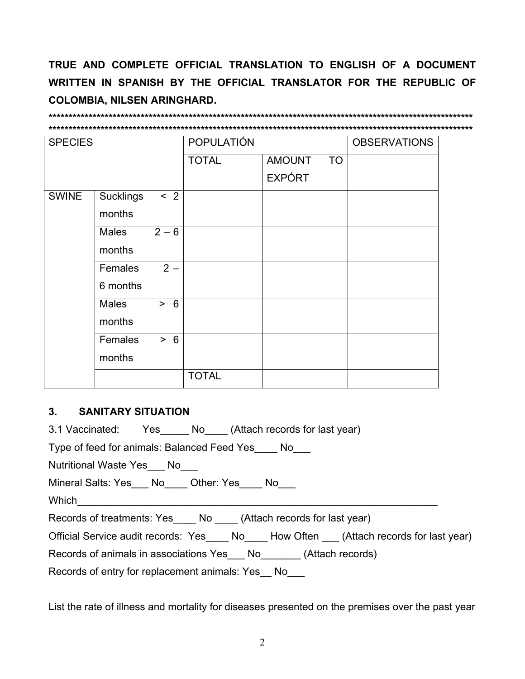TRUE AND COMPLETE OFFICIAL TRANSLATION TO ENGLISH OF A DOCUMENT WRITTEN IN SPANISH BY THE OFFICIAL TRANSLATOR FOR THE REPUBLIC OF **COLOMBIA, NILSEN ARINGHARD.** 

### 

| <b>SPECIES</b> |                  | <b>POPULATIÓN</b> |              |               | <b>OBSERVATIONS</b> |  |
|----------------|------------------|-------------------|--------------|---------------|---------------------|--|
|                |                  |                   | <b>TOTAL</b> | <b>AMOUNT</b> | <b>TO</b>           |  |
|                |                  |                   |              | <b>EXPÓRT</b> |                     |  |
| <b>SWINE</b>   | <b>Sucklings</b> | < 2               |              |               |                     |  |
|                | months           |                   |              |               |                     |  |
|                | <b>Males</b>     | $2 - 6$           |              |               |                     |  |
|                | months           |                   |              |               |                     |  |
|                | Females          | $2 -$             |              |               |                     |  |
|                | 6 months         |                   |              |               |                     |  |
|                | <b>Males</b>     | > 6               |              |               |                     |  |
|                | months           |                   |              |               |                     |  |
|                | Females          | > 6               |              |               |                     |  |
|                | months           |                   |              |               |                     |  |
|                |                  |                   | <b>TOTAL</b> |               |                     |  |

#### $3<sub>1</sub>$ **SANITARY SITUATION**

3.1 Vaccinated: Yes \_\_\_\_\_\_ No \_\_\_\_\_ (Attach records for last year)

Type of feed for animals: Balanced Feed Yes No

Nutritional Waste Yes No

Mineral Salts: Yes\_\_\_ No\_\_\_\_ Other: Yes\_\_\_\_ No\_\_\_

Which

Records of treatments: Yes\_\_\_\_\_\_ No \_\_\_\_\_ (Attach records for last year)

Official Service audit records: Yes\_\_\_\_ No\_\_\_\_ How Often \_\_\_ (Attach records for last year)

Records of animals in associations Yes\_\_\_ No\_\_\_\_\_\_\_ (Attach records)

Records of entry for replacement animals: Yes No

List the rate of illness and mortality for diseases presented on the premises over the past year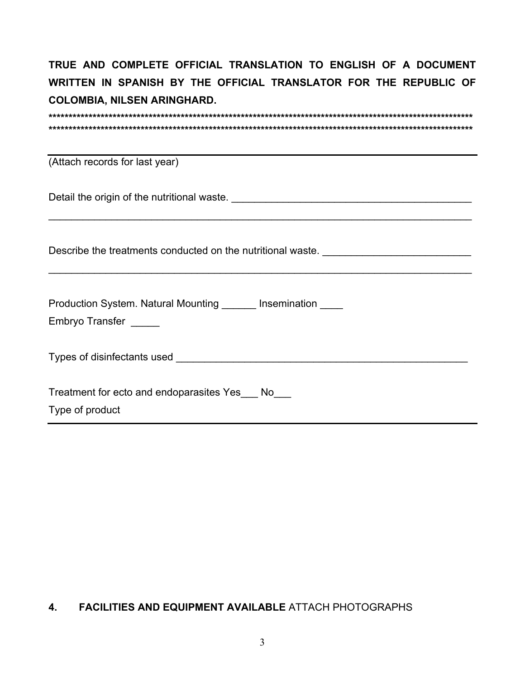**TRUE AND COMPLETE OFFICIAL TRANSLATION TO ENGLISH OF A DOCUMENT WRITTEN IN SPANISH BY THE OFFICIAL TRANSLATOR FOR THE REPUBLIC OF COLOMBIA, NILSEN ARINGHARD.** 

| (Attach records for last year)                                                                                                                                                                                                 |
|--------------------------------------------------------------------------------------------------------------------------------------------------------------------------------------------------------------------------------|
|                                                                                                                                                                                                                                |
| Describe the treatments conducted on the nutritional waste. ____________________                                                                                                                                               |
| Production System. Natural Mounting _______ Insemination _____<br>Embryo Transfer _____                                                                                                                                        |
| Types of disinfectants used and the state of the state of the state of the state of the state of the state of the state of the state of the state of the state of the state of the state of the state of the state of the stat |
| Treatment for ecto and endoparasites Yes No<br>Type of product                                                                                                                                                                 |

## **4. FACILITIES AND EQUIPMENT AVAILABLE** ATTACH PHOTOGRAPHS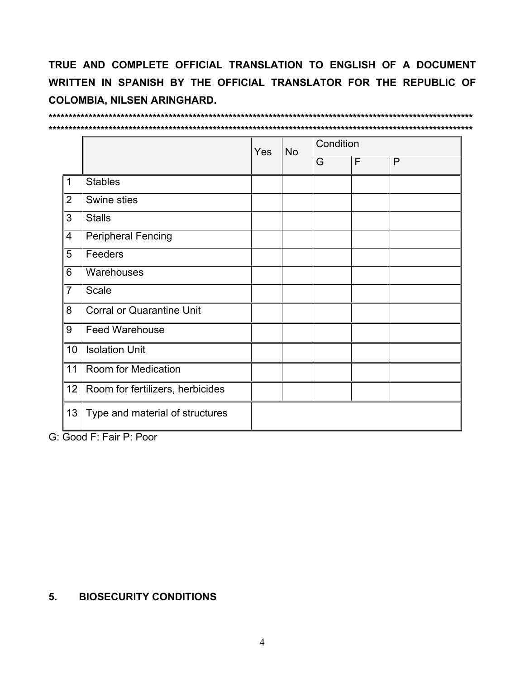TRUE AND COMPLETE OFFICIAL TRANSLATION TO ENGLISH OF A DOCUMENT WRITTEN IN SPANISH BY THE OFFICIAL TRANSLATOR FOR THE REPUBLIC OF **COLOMBIA, NILSEN ARINGHARD.** 

|                |                                  |     | <b>No</b> | Condition |   |   |  |
|----------------|----------------------------------|-----|-----------|-----------|---|---|--|
|                |                                  | Yes |           | G         | F | P |  |
| $\vert$ 1      | <b>Stables</b>                   |     |           |           |   |   |  |
| $\overline{2}$ | Swine sties                      |     |           |           |   |   |  |
| 3              | <b>Stalls</b>                    |     |           |           |   |   |  |
| 4              | <b>Peripheral Fencing</b>        |     |           |           |   |   |  |
| 5              | Feeders                          |     |           |           |   |   |  |
| 6              | Warehouses                       |     |           |           |   |   |  |
| $\overline{7}$ | Scale                            |     |           |           |   |   |  |
| 8              | <b>Corral or Quarantine Unit</b> |     |           |           |   |   |  |
| 9              | <b>Feed Warehouse</b>            |     |           |           |   |   |  |
| 10             | <b>Isolation Unit</b>            |     |           |           |   |   |  |
| 11             | Room for Medication              |     |           |           |   |   |  |
| 12             | Room for fertilizers, herbicides |     |           |           |   |   |  |
| 13             | Type and material of structures  |     |           |           |   |   |  |

G: Good F: Fair P: Poor

#### $5.$ **BIOSECURITY CONDITIONS**